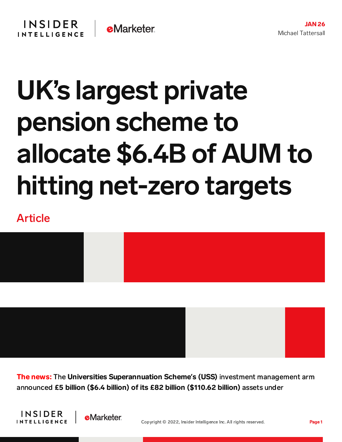## **INSIDER eMarketer INTELLIGENCE**

## UK's largest private pension scheme to allocate \$6.4B of AUM to hitting net-zero targets

## Article



The news: The Universities Superannuation Scheme**'**s (USS) investment management arm announced £5 billion (\$6.4 billion) of its £82 billion (\$110.62 billion) assets under



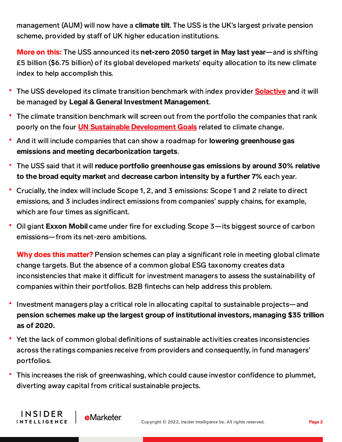management (AUM) will now have a **climate tilt**. The USS is the UK's largest private pension scheme, provided by staff of UK higher education institutions.

More on this: The USS announced its net-zero 2050 target in May last year—and is shifting £5 billion (\$6.75 billion) of its global developed markets' equity allocation to its new climate index to help accomplish this.

- The USS developed its climate transition benchmark with index provider **[Solactive](https://www.solactive.com/)** and it will be managed by Legal & General Investment Management.
- The climate transition benchmark will screen out from the portfolio the companies that rank poorly on the four **UN Sustainable [Development](https://sdgs.un.org/goals) Goals** related to climate change.
- And it will include companies that can show a roadmap for lowering greenhouse gas emissions and meeting decarbonization targets.
- The USS said that it will reduce portfolio greenhouse gas emissions by around 30% relative to the broad equity market and decrease carbon intensity by a further 7% each year.
- Crucially, the index will include Scope 1, 2, and 3 emissions: Scope 1 and 2 relate to direct emissions, and 3 includes indirect emissions from companies' supply chains, for example, which are four times as significant.
- Oil giant Exxon Mobil came under fire for excluding Scope 3—its biggest source of carbon emissions—from its net-zero ambitions.

Why does this matter? Pension schemes can play a significant role in meeting global climate change targets. But the absence of a common global ESG taxonomy creates data inconsistencies that make it difficult for investment managers to assess the sustainability of companies within their portfolios. B2B fintechs can help address this problem.

- Investment managers play a critical role in allocating capital to sustainable projects—and pension schemes make up the largest group of institutional investors, managing \$35 trillion as of 2020.
- Yet the lack of common global definitions of sustainable activities creates inconsistencies across the ratings companies receive from providers and consequently, in fund managers' portfolios.
- This increases the risk of greenwashing, which could cause investor confidence to plummet, diverting away capital from critical sustainable projects.

**INSIDER** 

**INTELLIGENCE**